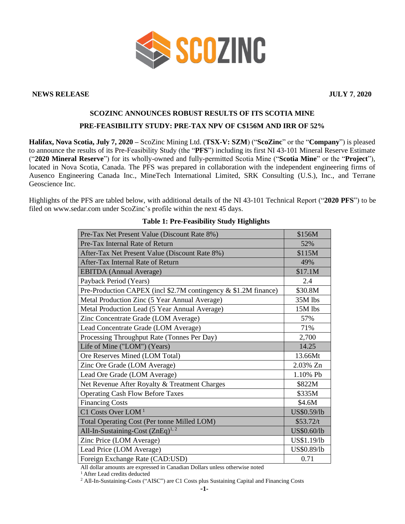

#### **NEWS RELEASE JULY 7**, **2020**

# **SCOZINC ANNOUNCES ROBUST RESULTS OF ITS SCOTIA MINE PRE-FEASIBILITY STUDY: PRE-TAX NPV OF C\$156M AND IRR OF 52%**

**Halifax, Nova Scotia, July 7, 2020 –** ScoZinc Mining Ltd. (**TSX-V: SZM**) ("**ScoZinc**" or the "**Company**") is pleased to announce the results of its Pre-Feasibility Study (the "**PFS**") including its first NI 43-101 Mineral Reserve Estimate ("**2020 Mineral Reserve**") for its wholly-owned and fully-permitted Scotia Mine ("**Scotia Mine**" or the "**Project**"), located in Nova Scotia, Canada. The PFS was prepared in collaboration with the independent engineering firms of Ausenco Engineering Canada Inc., MineTech International Limited, SRK Consulting (U.S.), Inc., and Terrane Geoscience Inc.

Highlights of the PFS are tabled below, with additional details of the NI 43-101 Technical Report ("**2020 PFS**") to be filed on www.sedar.com under ScoZinc's profile within the next 45 days.

| Pre-Tax Net Present Value (Discount Rate 8%)                    | \$156M      |
|-----------------------------------------------------------------|-------------|
| Pre-Tax Internal Rate of Return                                 | 52%         |
| After-Tax Net Present Value (Discount Rate 8%)                  | \$115M      |
| After-Tax Internal Rate of Return                               | 49%         |
| <b>EBITDA</b> (Annual Average)                                  | \$17.1M     |
| Payback Period (Years)                                          | 2.4         |
| Pre-Production CAPEX (incl \$2.7M contingency & \$1.2M finance) | \$30.8M     |
| Metal Production Zinc (5 Year Annual Average)                   | 35M lbs     |
| Metal Production Lead (5 Year Annual Average)                   | 15M lbs     |
| Zinc Concentrate Grade (LOM Average)                            | 57%         |
| Lead Concentrate Grade (LOM Average)                            | 71%         |
| Processing Throughput Rate (Tonnes Per Day)                     | 2,700       |
| Life of Mine ("LOM") (Years)                                    | 14.25       |
| Ore Reserves Mined (LOM Total)                                  | 13.66Mt     |
| Zinc Ore Grade (LOM Average)                                    | 2.03% Zn    |
| Lead Ore Grade (LOM Average)                                    | 1.10% Pb    |
| Net Revenue After Royalty & Treatment Charges                   | \$822M      |
| <b>Operating Cash Flow Before Taxes</b>                         | \$335M      |
| <b>Financing Costs</b>                                          | \$4.6M      |
| $C1$ Costs Over LOM <sup>1</sup>                                | US\$0.59/lb |
| Total Operating Cost (Per tonne Milled LOM)                     | \$53.72/t   |
| All-In-Sustaining-Cost $(ZnEq)^{1,2}$                           | US\$0.60/lb |
| Zinc Price (LOM Average)                                        | US\$1.19/lb |
| Lead Price (LOM Average)                                        | US\$0.89/lb |
| Foreign Exchange Rate (CAD:USD)                                 | 0.71        |

#### **Table 1: Pre-Feasibility Study Highlights**

All dollar amounts are expressed in Canadian Dollars unless otherwise noted

<sup>1</sup> After Lead credits deducted

<sup>2</sup> All-In-Sustaining-Costs ("AISC") are C1 Costs plus Sustaining Capital and Financing Costs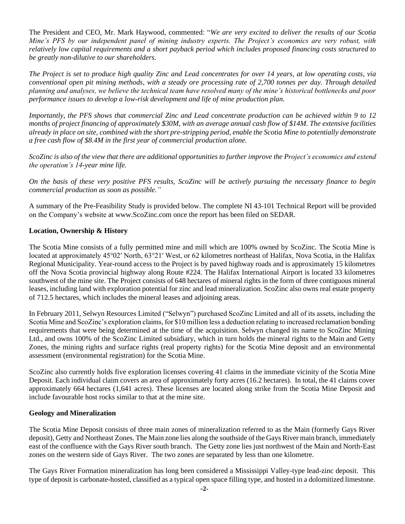The President and CEO, Mr. Mark Haywood, commented: "*We are very excited to deliver the results of our Scotia Mine's PFS by our independent panel of mining industry experts. The Project's economics are very robust, with relatively low capital requirements and a short payback period which includes proposed financing costs structured to be greatly non-dilutive to our shareholders.* 

*The Project is set to produce high quality Zinc and Lead concentrates for over 14 years, at low operating costs, via conventional open pit mining methods, with a steady ore processing rate of 2,700 tonnes per day. Through detailed planning and analyses, we believe the technical team have resolved many of the mine's historical bottlenecks and poor performance issues to develop a low-risk development and life of mine production plan.*

*Importantly, the PFS shows that commercial Zinc and Lead concentrate production can be achieved within 9 to 12 months of project financing of approximately \$30M, with an average annual cash flow of \$14M. The extensive facilities already in place on site, combined with the short pre-stripping period, enable the Scotia Mine to potentially demonstrate a free cash flow of \$8.4M in the first year of commercial production alone.*

*ScoZinc is also of the view that there are additional opportunities to further improve the Project's economics and extend the operation's 14-year mine life.*

*On the basis of these very positive PFS results, ScoZinc will be actively pursuing the necessary finance to begin commercial production as soon as possible."*

A summary of the Pre-Feasibility Study is provided below. The complete NI 43-101 Technical Report will be provided on the Company's website at www.ScoZinc.com once the report has been filed on SEDAR.

## **Location, Ownership & History**

The Scotia Mine consists of a fully permitted mine and mill which are 100% owned by ScoZinc. The Scotia Mine is located at approximately 45°02′ North, 63°21′ West, or 62 kilometres northeast of Halifax, Nova Scotia, in the Halifax Regional Municipality. Year-round access to the Project is by paved highway roads and is approximately 15 kilometres off the Nova Scotia provincial highway along Route #224. The Halifax International Airport is located 33 kilometres southwest of the mine site. The Project consists of 648 hectares of mineral rights in the form of three contiguous mineral leases, including land with exploration potential for zinc and lead mineralization. ScoZinc also owns real estate property of 712.5 hectares, which includes the mineral leases and adjoining areas.

In February 2011, Selwyn Resources Limited ("Selwyn") purchased ScoZinc Limited and all of its assets, including the Scotia Mine and ScoZinc's exploration claims, for \$10 million less a deduction relating to increased reclamation bonding requirements that were being determined at the time of the acquisition. Selwyn changed its name to ScoZinc Mining Ltd., and owns 100% of the ScoZinc Limited subsidiary, which in turn holds the mineral rights to the Main and Getty Zones, the mining rights and surface rights (real property rights) for the Scotia Mine deposit and an environmental assessment (environmental registration) for the Scotia Mine.

ScoZinc also currently holds five exploration licenses covering 41 claims in the immediate vicinity of the Scotia Mine Deposit. Each individual claim covers an area of approximately forty acres (16.2 hectares). In total, the 41 claims cover approximately 664 hectares (1,641 acres). These licenses are located along strike from the Scotia Mine Deposit and include favourable host rocks similar to that at the mine site.

#### **Geology and Mineralization**

The Scotia Mine Deposit consists of three main zones of mineralization referred to as the Main (formerly Gays River deposit), Getty and Northeast Zones. The Main zone lies along the southside of the Gays River main branch, immediately east of the confluence with the Gays River south branch. The Getty zone lies just northwest of the Main and North-East zones on the western side of Gays River. The two zones are separated by less than one kilometre.

The Gays River Formation mineralization has long been considered a Mississippi Valley-type lead-zinc deposit. This type of deposit is carbonate-hosted, classified as a typical open space filling type, and hosted in a dolomitized limestone.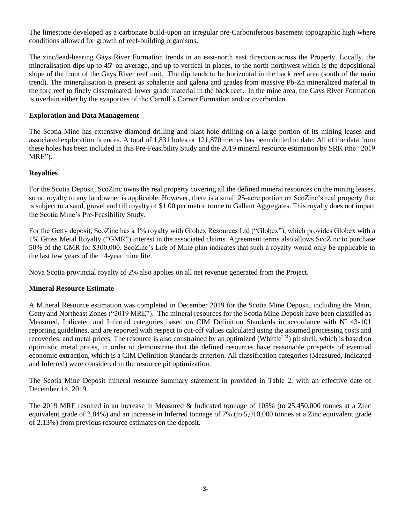The limestone developed as a carbonate build-upon an irregular pre-Carboniferous basement topographic high where conditions allowed for growth of reef-building organisms.

The zinc/lead-bearing Gays River Formation trends in an east-north east direction across the Property. Locally, the mineralisation dips up to 45º on average, and up to vertical in places, to the north-northwest which is the depositional slope of the front of the Gays River reef unit. The dip tends to be horizontal in the back reef area (south of the main trend). The mineralisation is present as sphalerite and galena and grades from massive Pb-Zn mineralized material in the fore reef to finely disseminated, lower grade material in the back reef. In the mine area, the Gays River Formation is overlain either by the evaporites of the Carroll's Corner Formation and/or overburden.

## **Exploration and Data Management**

The Scotia Mine has extensive diamond drilling and blast-hole drilling on a large portion of its mining leases and associated exploration licences. A total of 1,831 holes or 121,870 metres has been drilled to date. All of the data from these holes has been included in this Pre-Feasibility Study and the 2019 mineral resource estimation by SRK (the "2019 MRE").

## **Royalties**

For the Scotia Deposit, ScoZinc owns the real property covering all the defined mineral resources on the mining leases, so no royalty to any landowner is applicable. However, there is a small 25-acre portion on ScoZinc's real property that is subject to a sand, gravel and fill royalty of \$1.00 per metric tonne to Gallant Aggregates. This royalty does not impact the Scotia Mine's Pre-Feasibility Study.

For the Getty deposit, ScoZinc has a 1% royalty with Globex Resources Ltd ("Globex"), which provides Globex with a 1% Gross Metal Royalty ("GMR") interest in the associated claims. Agreement terms also allows ScoZinc to purchase 50% of the GMR for \$300,000. ScoZinc's Life of Mine plan indicates that such a royalty would only be applicable in the last few years of the 14-year mine life.

Nova Scotia provincial royalty of 2% also applies on all net revenue generated from the Project.

#### **Mineral Resource Estimate**

A Mineral Resource estimation was completed in December 2019 for the Scotia Mine Deposit, including the Main, Getty and Northeast Zones ("2019 MRE"). The mineral resources for the Scotia Mine Deposit have been classified as Measured, Indicated and Inferred categories based on CIM Definition Standards in accordance with NI 43-101 reporting guidelines, and are reported with respect to cut-off values calculated using the assumed processing costs and recoveries, and metal prices. The resource is also constrained by an optimized (WhittleTM) pit shell, which is based on optimistic metal prices, in order to demonstrate that the defined resources have reasonable prospects of eventual economic extraction, which is a CIM Definition Standards criterion. All classification categories (Measured, Indicated and Inferred) were considered in the resource pit optimization.

The Scotia Mine Deposit mineral resource summary statement in provided in Table 2, with an effective date of December 14, 2019.

The 2019 MRE resulted in an increase in Measured & Indicated tonnage of 105% (to 25,450,000 tonnes at a Zinc equivalent grade of 2.84%) and an increase in Inferred tonnage of 7% (to 5,010,000 tonnes at a Zinc equivalent grade of 2.13%) from previous resource estimates on the deposit.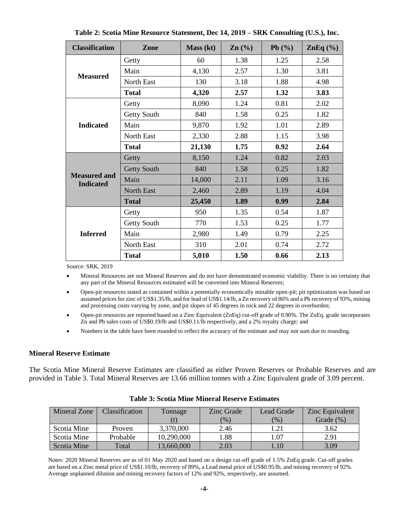| <b>Classification</b>                   | Zone               | Mass (kt) | $\text{Zn}$ $\left(\frac{0}{0}\right)$ | Pb $(\% )$ | ZnEq $(\% )$ |
|-----------------------------------------|--------------------|-----------|----------------------------------------|------------|--------------|
|                                         | Getty              | 60        | 1.38                                   | 1.25       | 2.58         |
| <b>Measured</b>                         | Main               | 4,130     | 2.57                                   | 1.30       | 3.81         |
|                                         | North East         | 130       | 3.18                                   | 1.88       | 4.98         |
|                                         | <b>Total</b>       | 4,320     | 2.57                                   | 1.32       | 3.83         |
|                                         | Getty              | 8,090     | 1.24                                   | 0.81       | 2.02         |
|                                         | Getty South        | 840       | 1.58                                   | 0.25       | 1.82         |
| <b>Indicated</b>                        | Main               | 9,870     | 1.92                                   | 1.01       | 2.89         |
|                                         | North East         | 2,330     | 2.88                                   | 1.15       | 3.98         |
|                                         | <b>Total</b>       | 21,130    | 1.75                                   | 0.92       | 2.64         |
| <b>Measured and</b><br><b>Indicated</b> | Getty              | 8,150     | 1.24                                   | 0.82       | 2.03         |
|                                         | <b>Getty South</b> | 840       | 1.58                                   | 0.25       | 1.82         |
|                                         | Main               | 14,000    | 2.11                                   | 1.09       | 3.16         |
|                                         | <b>North East</b>  | 2,460     | 2.89                                   | 1.19       | 4.04         |
|                                         | <b>Total</b>       | 25,450    | 1.89                                   | 0.99       | 2.84         |
|                                         | Getty              | 950       | 1.35                                   | 0.54       | 1.87         |
| <b>Inferred</b>                         | Getty South        | 770       | 1.53                                   | 0.25       | 1.77         |
|                                         | Main               | 2,980     | 1.49                                   | 0.79       | 2.25         |
|                                         | North East         | 310       | 2.01                                   | 0.74       | 2.72         |
|                                         | <b>Total</b>       | 5,010     | 1.50                                   | 0.66       | 2.13         |

**Table 2: Scotia Mine Resource Statement, Dec 14, 2019 – SRK Consulting (U.S.), Inc.**

Source: SRK, 2019

• Mineral Resources are not Mineral Reserves and do not have demonstrated economic viability. There is no certainty that any part of the Mineral Resources estimated will be converted into Mineral Reserves;

• Open-pit resources stated as contained within a potentially economically minable open-pit; pit optimization was based on assumed prices for zinc of US\$1.35/lb, and for lead of US\$1.14/lb, a Zn recovery of 86% and a Pb recovery of 93%, mining and processing costs varying by zone, and pit slopes of 45 degrees in rock and 22 degrees in overburden;

- Open-pit resources are reported based on a Zinc Equivalent (ZnEq) cut-off grade of 0.90%. The ZnEq. grade incorporates Zn and Pb sales costs of US\$0.19/lb and US\$0.11/lb respectively, and a 2% royalty charge; and
- Numbers in the table have been rounded to reflect the accuracy of the estimate and may not sum due to rounding.

#### **Mineral Reserve Estimate**

The Scotia Mine Mineral Reserve Estimates are classified as either Proven Reserves or Probable Reserves and are provided in Table 3. Total Mineral Reserves are 13.66 million tonnes with a Zinc Equivalent grade of 3.09 percent.

| Mineral Zone | <b>Classification</b> | Tonnage    | Zinc Grade | Lead Grade | Zinc Equivalent |
|--------------|-----------------------|------------|------------|------------|-----------------|
|              |                       |            | $(\% )$    | (%)        | Grade $(\%)$    |
| Scotia Mine  | <b>Proven</b>         | 3,370,000  | 2.46       | 1.21       | 3.62            |
| Scotia Mine  | Probable              | 10,290,000 | 1.88       | 1.07       | 2.91            |
| Scotia Mine  | Total                 | 13,660,000 | 2.03       | 1.10       | 3.09            |

## **Table 3: Scotia Mine Mineral Reserve Estimates**

Notes: 2020 Mineral Reserves are as of 01 May 2020 and based on a design cut-off grade of 1.5% ZnEq grade. Cut-off grades are based on a Zinc metal price of US\$1.10/lb, recovery of 89%, a Lead metal price of US\$0.95/lb, and mining recovery of 92%. Average unplanned dilution and mining recovery factors of 12% and 92%, respectively, are assumed.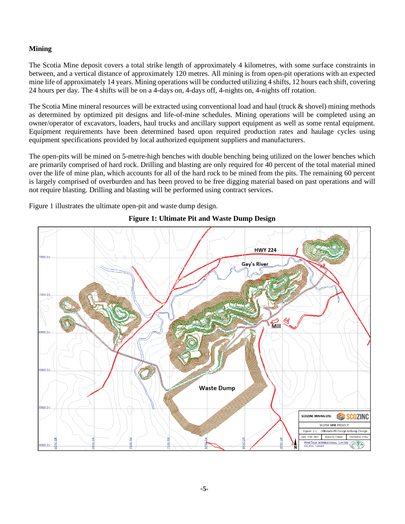# **Mining**

The Scotia Mine deposit covers a total strike length of approximately 4 kilometres, with some surface constraints in between, and a vertical distance of approximately 120 metres. All mining is from open-pit operations with an expected mine life of approximately 14 years. Mining operations will be conducted utilizing 4 shifts, 12 hours each shift, covering 24 hours per day. The 4 shifts will be on a 4-days on, 4-days off, 4-nights on, 4-nights off rotation.

The Scotia Mine mineral resources will be extracted using conventional load and haul (truck & shovel) mining methods as determined by optimized pit designs and life-of-mine schedules. Mining operations will be completed using an owner/operator of excavators, loaders, haul trucks and ancillary support equipment as well as some rental equipment. Equipment requirements have been determined based upon required production rates and haulage cycles using equipment specifications provided by local authorized equipment suppliers and manufacturers.

The open-pits will be mined on 5-metre-high benches with double benching being utilized on the lower benches which are primarily comprised of hard rock. Drilling and blasting are only required for 40 percent of the total material mined over the life of mine plan, which accounts for all of the hard rock to be mined from the pits. The remaining 60 percent is largely comprised of overburden and has been proved to be free digging material based on past operations and will not require blasting. Drilling and blasting will be performed using contract services.

Figure 1 illustrates the ultimate open-pit and waste dump design.

# **HWY 224** Gay's River ooo o мііі **Waste Dump** SCOZINC MINING LTD. **SCOZINC** SCOTIA MINE PROJECT Figure 1-1 : Ultimate Pit Design & Dump Design Date: 19-06 -2020 Drawn By: J. Baker Checked By: D. Roy MINETECH INTERNATIONAL LIMITED<br>HALIFAX, CANADA 000.0Y

## **Figure 1: Ultimate Pit and Waste Dump Design**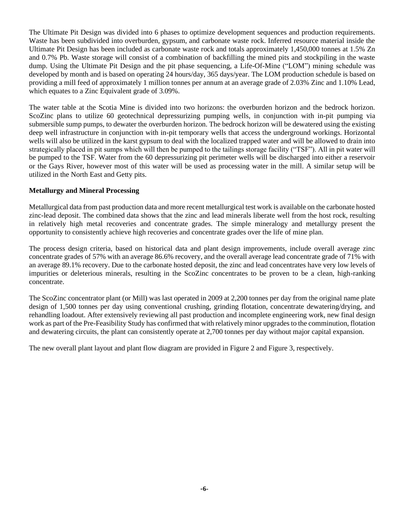The Ultimate Pit Design was divided into 6 phases to optimize development sequences and production requirements. Waste has been subdivided into overburden, gypsum, and carbonate waste rock. Inferred resource material inside the Ultimate Pit Design has been included as carbonate waste rock and totals approximately 1,450,000 tonnes at 1.5% Zn and 0.7% Pb. Waste storage will consist of a combination of backfilling the mined pits and stockpiling in the waste dump. Using the Ultimate Pit Design and the pit phase sequencing, a Life-Of-Mine ("LOM") mining schedule was developed by month and is based on operating 24 hours/day, 365 days/year. The LOM production schedule is based on providing a mill feed of approximately 1 million tonnes per annum at an average grade of 2.03% Zinc and 1.10% Lead, which equates to a Zinc Equivalent grade of 3.09%.

The water table at the Scotia Mine is divided into two horizons: the overburden horizon and the bedrock horizon. ScoZinc plans to utilize 60 geotechnical depressurizing pumping wells, in conjunction with in-pit pumping via submersible sump pumps, to dewater the overburden horizon. The bedrock horizon will be dewatered using the existing deep well infrastructure in conjunction with in-pit temporary wells that access the underground workings. Horizontal wells will also be utilized in the karst gypsum to deal with the localized trapped water and will be allowed to drain into strategically placed in pit sumps which will then be pumped to the tailings storage facility ("TSF"). All in pit water will be pumped to the TSF. Water from the 60 depressurizing pit perimeter wells will be discharged into either a reservoir or the Gays River, however most of this water will be used as processing water in the mill. A similar setup will be utilized in the North East and Getty pits.

#### **Metallurgy and Mineral Processing**

Metallurgical data from past production data and more recent metallurgical test work is available on the carbonate hosted zinc-lead deposit. The combined data shows that the zinc and lead minerals liberate well from the host rock, resulting in relatively high metal recoveries and concentrate grades. The simple mineralogy and metallurgy present the opportunity to consistently achieve high recoveries and concentrate grades over the life of mine plan.

The process design criteria, based on historical data and plant design improvements, include overall average zinc concentrate grades of 57% with an average 86.6% recovery, and the overall average lead concentrate grade of 71% with an average 89.1% recovery. Due to the carbonate hosted deposit, the zinc and lead concentrates have very low levels of impurities or deleterious minerals, resulting in the ScoZinc concentrates to be proven to be a clean, high-ranking concentrate.

The ScoZinc concentrator plant (or Mill) was last operated in 2009 at 2,200 tonnes per day from the original name plate design of 1,500 tonnes per day using conventional crushing, grinding flotation, concentrate dewatering/drying, and rehandling loadout. After extensively reviewing all past production and incomplete engineering work, new final design work as part of the Pre-Feasibility Study has confirmed that with relatively minor upgrades to the comminution, flotation and dewatering circuits, the plant can consistently operate at 2,700 tonnes per day without major capital expansion.

The new overall plant layout and plant flow diagram are provided in Figure 2 and Figure 3, respectively.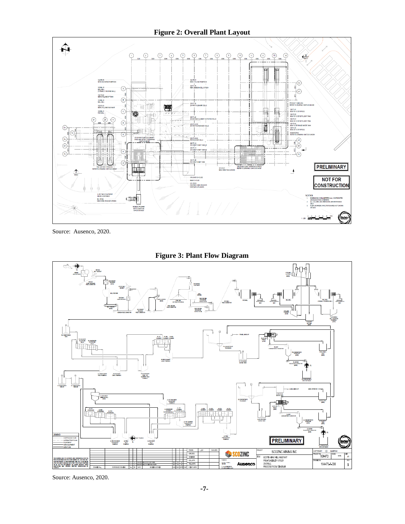## **Figure 2: Overall Plant Layout**



Source: Ausenco, 2020.



**Figure 3: Plant Flow Diagram**

Source: Ausenco, 2020.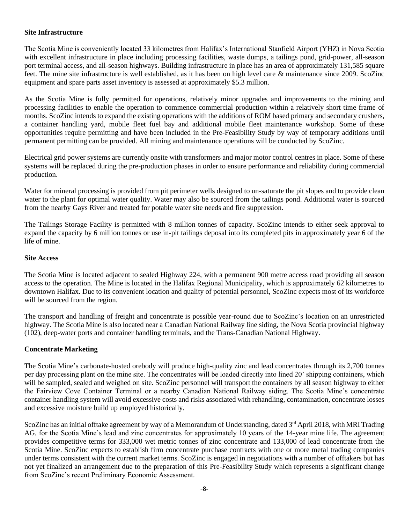#### **Site Infrastructure**

The Scotia Mine is conveniently located 33 kilometres from Halifax's International Stanfield Airport (YHZ) in Nova Scotia with excellent infrastructure in place including processing facilities, waste dumps, a tailings pond, grid-power, all-season port terminal access, and all-season highways. Building infrastructure in place has an area of approximately 131,585 square feet. The mine site infrastructure is well established, as it has been on high level care & maintenance since 2009. ScoZinc equipment and spare parts asset inventory is assessed at approximately \$5.3 million.

As the Scotia Mine is fully permitted for operations, relatively minor upgrades and improvements to the mining and processing facilities to enable the operation to commence commercial production within a relatively short time frame of months. ScoZinc intends to expand the existing operations with the additions of ROM based primary and secondary crushers, a container handling yard, mobile fleet fuel bay and additional mobile fleet maintenance workshop. Some of these opportunities require permitting and have been included in the Pre-Feasibility Study by way of temporary additions until permanent permitting can be provided. All mining and maintenance operations will be conducted by ScoZinc.

Electrical grid power systems are currently onsite with transformers and major motor control centres in place. Some of these systems will be replaced during the pre-production phases in order to ensure performance and reliability during commercial production.

Water for mineral processing is provided from pit perimeter wells designed to un-saturate the pit slopes and to provide clean water to the plant for optimal water quality. Water may also be sourced from the tailings pond. Additional water is sourced from the nearby Gays River and treated for potable water site needs and fire suppression.

The Tailings Storage Facility is permitted with 8 million tonnes of capacity. ScoZinc intends to either seek approval to expand the capacity by 6 million tonnes or use in-pit tailings deposal into its completed pits in approximately year 6 of the life of mine.

#### **Site Access**

The Scotia Mine is located adjacent to sealed Highway 224, with a permanent 900 metre access road providing all season access to the operation. The Mine is located in the Halifax Regional Municipality, which is approximately 62 kilometres to downtown Halifax. Due to its convenient location and quality of potential personnel, ScoZinc expects most of its workforce will be sourced from the region.

The transport and handling of freight and concentrate is possible year-round due to ScoZinc's location on an unrestricted highway. The Scotia Mine is also located near a Canadian National Railway line siding, the Nova Scotia provincial highway (102), deep-water ports and container handling terminals, and the Trans-Canadian National Highway.

#### **Concentrate Marketing**

The Scotia Mine's carbonate-hosted orebody will produce high-quality zinc and lead concentrates through its 2,700 tonnes per day processing plant on the mine site. The concentrates will be loaded directly into lined 20' shipping containers, which will be sampled, sealed and weighed on site. ScoZinc personnel will transport the containers by all season highway to either the Fairview Cove Container Terminal or a nearby Canadian National Railway siding. The Scotia Mine's concentrate container handling system will avoid excessive costs and risks associated with rehandling, contamination, concentrate losses and excessive moisture build up employed historically.

ScoZinc has an initial offtake agreement by way of a Memorandum of Understanding, dated 3<sup>rd</sup> April 2018, with MRI Trading AG, for the Scotia Mine's lead and zinc concentrates for approximately 10 years of the 14-year mine life. The agreement provides competitive terms for 333,000 wet metric tonnes of zinc concentrate and 133,000 of lead concentrate from the Scotia Mine. ScoZinc expects to establish firm concentrate purchase contracts with one or more metal trading companies under terms consistent with the current market terms. ScoZinc is engaged in negotiations with a number of offtakers but has not yet finalized an arrangement due to the preparation of this Pre-Feasibility Study which represents a significant change from ScoZinc's recent Preliminary Economic Assessment.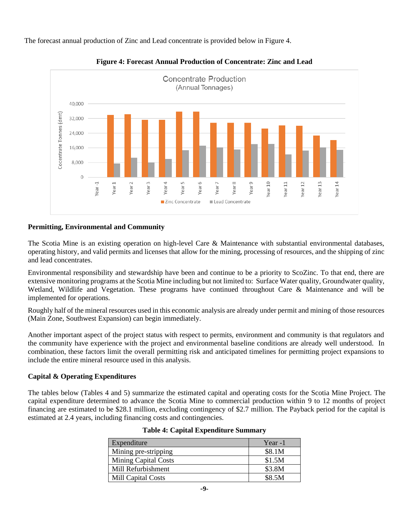The forecast annual production of Zinc and Lead concentrate is provided below in Figure 4.





# **Permitting, Environmental and Community**

The Scotia Mine is an existing operation on high-level Care & Maintenance with substantial environmental databases, operating history, and valid permits and licenses that allow for the mining, processing of resources, and the shipping of zinc and lead concentrates.

Environmental responsibility and stewardship have been and continue to be a priority to ScoZinc. To that end, there are extensive monitoring programs at the Scotia Mine including but not limited to: Surface Water quality, Groundwater quality, Wetland, Wildlife and Vegetation. These programs have continued throughout Care & Maintenance and will be implemented for operations.

Roughly half of the mineral resources used in this economic analysis are already under permit and mining of those resources (Main Zone, Southwest Expansion) can begin immediately.

Another important aspect of the project status with respect to permits, environment and community is that regulators and the community have experience with the project and environmental baseline conditions are already well understood. In combination, these factors limit the overall permitting risk and anticipated timelines for permitting project expansions to include the entire mineral resource used in this analysis.

# **Capital & Operating Expenditures**

The tables below (Tables 4 and 5) summarize the estimated capital and operating costs for the Scotia Mine Project. The capital expenditure determined to advance the Scotia Mine to commercial production within 9 to 12 months of project financing are estimated to be \$28.1 million, excluding contingency of \$2.7 million. The Payback period for the capital is estimated at 2.4 years, including financing costs and contingencies.

| Expenditure                 | Year $-1$ |
|-----------------------------|-----------|
| Mining pre-stripping        | \$8.1M    |
| <b>Mining Capital Costs</b> | \$1.5M    |
| Mill Refurbishment          | \$3.8M    |
| <b>Mill Capital Costs</b>   | \$8.5M    |

| <b>Table 4: Capital Expenditure Summary</b> |  |  |
|---------------------------------------------|--|--|
|---------------------------------------------|--|--|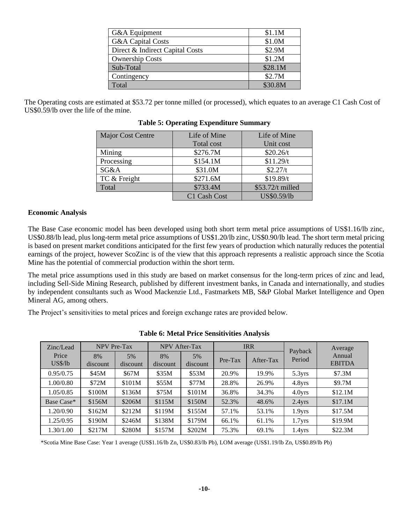| G&A Equipment                   | \$1.1M  |
|---------------------------------|---------|
| <b>G&amp;A Capital Costs</b>    | \$1.0M  |
| Direct & Indirect Capital Costs | \$2.9M  |
| <b>Ownership Costs</b>          | \$1.2M  |
| Sub-Total                       | \$28.1M |
| Contingency                     | \$2.7M  |
| Total                           | \$30.8M |

The Operating costs are estimated at \$53.72 per tonne milled (or processed), which equates to an average C1 Cash Cost of US\$0.59/lb over the life of the mine.

| <b>Major Cost Centre</b> | Life of Mine | Life of Mine     |
|--------------------------|--------------|------------------|
|                          | Total cost   | Unit cost        |
| Mining                   | \$276.7M     | \$20.26/t        |
| Processing               | \$154.1M     | \$11.29/t        |
| SG&A                     | \$31.0M      | \$2.27/t         |
| TC & Freight             | \$271.6M     | \$19.89/t        |
| Total                    | \$733.4M     | \$53.72/t milled |
|                          | C1 Cash Cost | US\$0.59/lb      |

#### **Table 5: Operating Expenditure Summary**

#### **Economic Analysis**

The Base Case economic model has been developed using both short term metal price assumptions of US\$1.16/lb zinc, US\$0.88/lb lead, plus long-term metal price assumptions of US\$1.20/lb zinc, US\$0.90/lb lead. The short term metal pricing is based on present market conditions anticipated for the first few years of production which naturally reduces the potential earnings of the project, however ScoZinc is of the view that this approach represents a realistic approach since the Scotia Mine has the potential of commercial production within the short term.

The metal price assumptions used in this study are based on market consensus for the long-term prices of zinc and lead, including Sell-Side Mining Research, published by different investment banks, in Canada and internationally, and studies by independent consultants such as Wood Mackenzie Ltd., Fastmarkets MB, S&P Global Market Intelligence and Open Mineral AG, among others.

The Project's sensitivities to metal prices and foreign exchange rates are provided below.

| Zinc/Lead        | <b>NPV</b> Pre-Tax |                |                | <b>NPV</b> After-Tax |         | <b>IRR</b> | Payback            | Average                 |
|------------------|--------------------|----------------|----------------|----------------------|---------|------------|--------------------|-------------------------|
| Price<br>US\$/lb | 8%<br>discount     | 5%<br>discount | 8%<br>discount | 5%<br>discount       | Pre-Tax | After-Tax  | Period             | Annual<br><b>EBITDA</b> |
| 0.95/0.75        | \$45M              | \$67M          | \$35M          | \$53M                | 20.9%   | 19.9%      | 5.3 <sub>yrs</sub> | \$7.3M                  |
| 1.00/0.80        | \$72M              | \$101M         | \$55M          | \$77M                | 28.8%   | 26.9%      | 4.8yrs             | \$9.7M                  |
| 1.05/0.85        | \$100M             | \$136M         | \$75M          | \$101M               | 36.8%   | 34.3%      | 4.0 <sub>yrs</sub> | \$12.1M                 |
| Base Case*       | \$156M             | \$206M         | \$115M         | \$150M               | 52.3%   | 48.6%      | $2.4$ yrs          | \$17.1M                 |
| 1.20/0.90        | \$162M             | \$212M         | \$119M         | \$155M               | 57.1%   | 53.1%      | 1.9 <sub>Yrs</sub> | \$17.5M                 |
| 1.25/0.95        | \$190M             | \$246M         | \$138M         | \$179M               | 66.1%   | 61.1%      | 1.7 <sub>yrs</sub> | \$19.9M                 |
| 1.30/1.00        | \$217M             | \$280M         | \$157M         | \$202M               | 75.3%   | 69.1%      | 1.4yrs             | \$22.3M                 |

#### **Table 6: Metal Price Sensitivities Analysis**

\*Scotia Mine Base Case: Year 1 average (US\$1.16/lb Zn, US\$0.83/lb Pb), LOM average (US\$1.19/lb Zn, US\$0.89/lb Pb)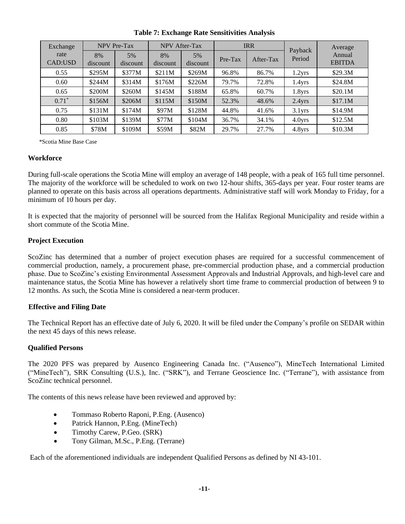| Exchange        |                | <b>NPV Pre-Tax</b> |                | NPV After-Tax  |         | <b>IRR</b> |                    | Average                 |
|-----------------|----------------|--------------------|----------------|----------------|---------|------------|--------------------|-------------------------|
| rate<br>CAD:USD | 8%<br>discount | 5%<br>discount     | 8%<br>discount | 5%<br>discount | Pre-Tax | After-Tax  | Payback<br>Period  | Annual<br><b>EBITDA</b> |
| 0.55            | \$295M         | \$377M             | \$211M         | \$269M         | 96.8%   | 86.7%      | 1.2 <sub>yrs</sub> | \$29.3M                 |
| 0.60            | \$244M         | \$314M             | \$176M         | \$226M         | 79.7%   | 72.8%      | 1.4 <sub>yrs</sub> | \$24.8M                 |
| 0.65            | \$200M         | \$260M             | \$145M         | \$188M         | 65.8%   | 60.7%      | 1.8 <sub>yrs</sub> | \$20.1M                 |
| $0.71*$         | \$156M         | \$206M             | \$115M         | \$150M         | 52.3%   | 48.6%      | $2.4$ yrs          | \$17.1M                 |
| 0.75            | \$131M         | \$174M             | \$97M          | \$128M         | 44.8%   | 41.6%      | 3.1 <sub>yrs</sub> | \$14.9M                 |
| 0.80            | \$103M         | \$139M             | \$77M          | \$104M         | 36.7%   | 34.1%      | $4.0Y$ rs          | \$12.5M                 |
| 0.85            | \$78M          | \$109M             | \$59M          | \$82M          | 29.7%   | 27.7%      | 4.8yrs             | \$10.3M                 |

**Table 7: Exchange Rate Sensitivities Analysis**

\*Scotia Mine Base Case

#### **Workforce**

During full-scale operations the Scotia Mine will employ an average of 148 people, with a peak of 165 full time personnel. The majority of the workforce will be scheduled to work on two 12-hour shifts, 365-days per year. Four roster teams are planned to operate on this basis across all operations departments. Administrative staff will work Monday to Friday, for a minimum of 10 hours per day.

It is expected that the majority of personnel will be sourced from the Halifax Regional Municipality and reside within a short commute of the Scotia Mine.

#### **Project Execution**

ScoZinc has determined that a number of project execution phases are required for a successful commencement of commercial production, namely, a procurement phase, pre-commercial production phase, and a commercial production phase. Due to ScoZinc's existing Environmental Assessment Approvals and Industrial Approvals, and high-level care and maintenance status, the Scotia Mine has however a relatively short time frame to commercial production of between 9 to 12 months. As such, the Scotia Mine is considered a near-term producer.

#### **Effective and Filing Date**

The Technical Report has an effective date of July 6, 2020. It will be filed under the Company's profile on SEDAR within the next 45 days of this news release.

#### **Qualified Persons**

The 2020 PFS was prepared by Ausenco Engineering Canada Inc. ("Ausenco"), MineTech International Limited ("MineTech"), SRK Consulting (U.S.), Inc. ("SRK"), and Terrane Geoscience Inc. ("Terrane"), with assistance from ScoZinc technical personnel.

The contents of this news release have been reviewed and approved by:

- Tommaso Roberto Raponi, P.Eng. (Ausenco)
- Patrick Hannon, P.Eng. (MineTech)
- Timothy Carew, P.Geo. (SRK)
- Tony Gilman, M.Sc., P.Eng. (Terrane)

Each of the aforementioned individuals are independent Qualified Persons as defined by NI 43-101.